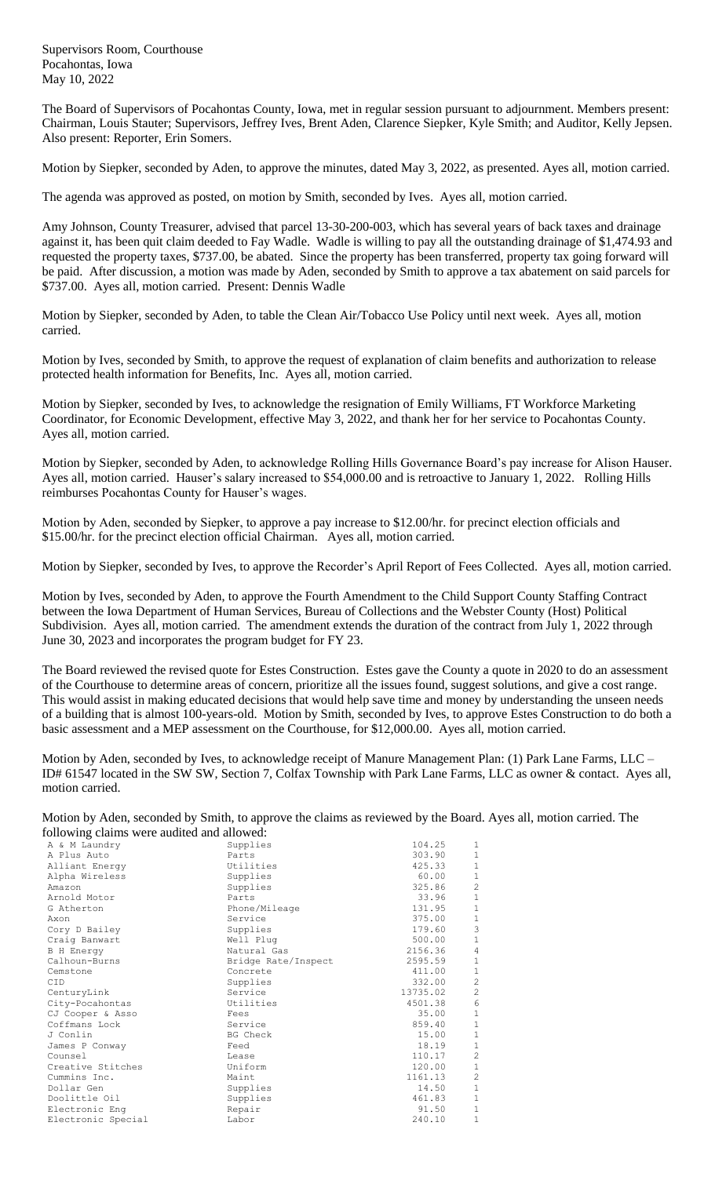Supervisors Room, Courthouse Pocahontas, Iowa May 10, 2022

The Board of Supervisors of Pocahontas County, Iowa, met in regular session pursuant to adjournment. Members present: Chairman, Louis Stauter; Supervisors, Jeffrey Ives, Brent Aden, Clarence Siepker, Kyle Smith; and Auditor, Kelly Jepsen. Also present: Reporter, Erin Somers.

Motion by Siepker, seconded by Aden, to approve the minutes, dated May 3, 2022, as presented. Ayes all, motion carried.

The agenda was approved as posted, on motion by Smith, seconded by Ives. Ayes all, motion carried.

Amy Johnson, County Treasurer, advised that parcel 13-30-200-003, which has several years of back taxes and drainage against it, has been quit claim deeded to Fay Wadle. Wadle is willing to pay all the outstanding drainage of \$1,474.93 and requested the property taxes, \$737.00, be abated. Since the property has been transferred, property tax going forward will be paid. After discussion, a motion was made by Aden, seconded by Smith to approve a tax abatement on said parcels for \$737.00. Ayes all, motion carried. Present: Dennis Wadle

Motion by Siepker, seconded by Aden, to table the Clean Air/Tobacco Use Policy until next week. Ayes all, motion carried.

Motion by Ives, seconded by Smith, to approve the request of explanation of claim benefits and authorization to release protected health information for Benefits, Inc. Ayes all, motion carried.

Motion by Siepker, seconded by Ives, to acknowledge the resignation of Emily Williams, FT Workforce Marketing Coordinator, for Economic Development, effective May 3, 2022, and thank her for her service to Pocahontas County. Ayes all, motion carried.

Motion by Siepker, seconded by Aden, to acknowledge Rolling Hills Governance Board's pay increase for Alison Hauser. Ayes all, motion carried. Hauser's salary increased to \$54,000.00 and is retroactive to January 1, 2022. Rolling Hills reimburses Pocahontas County for Hauser's wages.

Motion by Aden, seconded by Siepker, to approve a pay increase to \$12.00/hr. for precinct election officials and \$15.00/hr. for the precinct election official Chairman. Ayes all, motion carried.

Motion by Siepker, seconded by Ives, to approve the Recorder's April Report of Fees Collected. Ayes all, motion carried.

Motion by Ives, seconded by Aden, to approve the Fourth Amendment to the Child Support County Staffing Contract between the Iowa Department of Human Services, Bureau of Collections and the Webster County (Host) Political Subdivision. Ayes all, motion carried. The amendment extends the duration of the contract from July 1, 2022 through June 30, 2023 and incorporates the program budget for FY 23.

The Board reviewed the revised quote for Estes Construction. Estes gave the County a quote in 2020 to do an assessment of the Courthouse to determine areas of concern, prioritize all the issues found, suggest solutions, and give a cost range. This would assist in making educated decisions that would help save time and money by understanding the unseen needs of a building that is almost 100-years-old. Motion by Smith, seconded by Ives, to approve Estes Construction to do both a basic assessment and a MEP assessment on the Courthouse, for \$12,000.00. Ayes all, motion carried.

Motion by Aden, seconded by Ives, to acknowledge receipt of Manure Management Plan: (1) Park Lane Farms, LLC – ID# 61547 located in the SW SW, Section 7, Colfax Township with Park Lane Farms, LLC as owner & contact. Ayes all, motion carried.

Motion by Aden, seconded by Smith, to approve the claims as reviewed by the Board. Ayes all, motion carried. The following claims were audited and allowed:

| ronowing clammo were addited and anowed. |                     |          |                |
|------------------------------------------|---------------------|----------|----------------|
| A & M Laundry                            | Supplies            | 104.25   | 1              |
| A Plus Auto                              | Parts               | 303.90   | $1\,$          |
| Alliant Energy                           | Utilities           | 425.33   | $\,1\,$        |
| Alpha Wireless                           | Supplies            | 60.00    | $\mathbf{1}$   |
| Amazon                                   | Supplies            | 325.86   | $\overline{c}$ |
| Arnold Motor                             | Parts               | 33.96    | $\mathbf 1$    |
| G Atherton                               | Phone/Mileage       | 131.95   | $\mathbf 1$    |
| Axon                                     | Service             | 375.00   | $\,1\,$        |
| Cory D Bailey                            | Supplies            | 179.60   | 3              |
| Craig Banwart                            | Well Plug           | 500.00   | $1\,$          |
| <b>B</b> H Energy                        | Natural Gas         | 2156.36  | $\overline{4}$ |
| Calhoun-Burns                            | Bridge Rate/Inspect | 2595.59  | $1\,$          |
| Cemstone                                 | Concrete            | 411.00   | $1\,$          |
| <b>CID</b>                               | Supplies            | 332.00   | $\overline{c}$ |
| CenturyLink                              | Service             | 13735.02 | $\overline{c}$ |
| City-Pocahontas                          | Utilities           | 4501.38  | $\epsilon$     |
| CJ Cooper & Asso                         | Fees                | 35.00    | $\,1\,$        |
| Coffmans Lock                            | Service             | 859.40   | $\mathbf{1}$   |
| J Conlin                                 | BG Check            | 15.00    | $\mathbf{1}$   |
| James P Conway                           | Feed                | 18.19    | $\,1\,$        |
| Counsel                                  | Lease               | 110.17   | $\overline{c}$ |
| Creative Stitches                        | Uniform             | 120.00   | $1\,$          |
| Cummins Inc.                             | Maint               | 1161.13  | $\overline{c}$ |
| Dollar Gen                               | Supplies            | 14.50    | $1\,$          |
| Doolittle Oil                            | Supplies            | 461.83   | $1\,$          |
| Electronic Eng                           | Repair              | 91.50    | $\mathbf{1}$   |
| Electronic Special                       | Labor               | 240.10   | 1              |
|                                          |                     |          |                |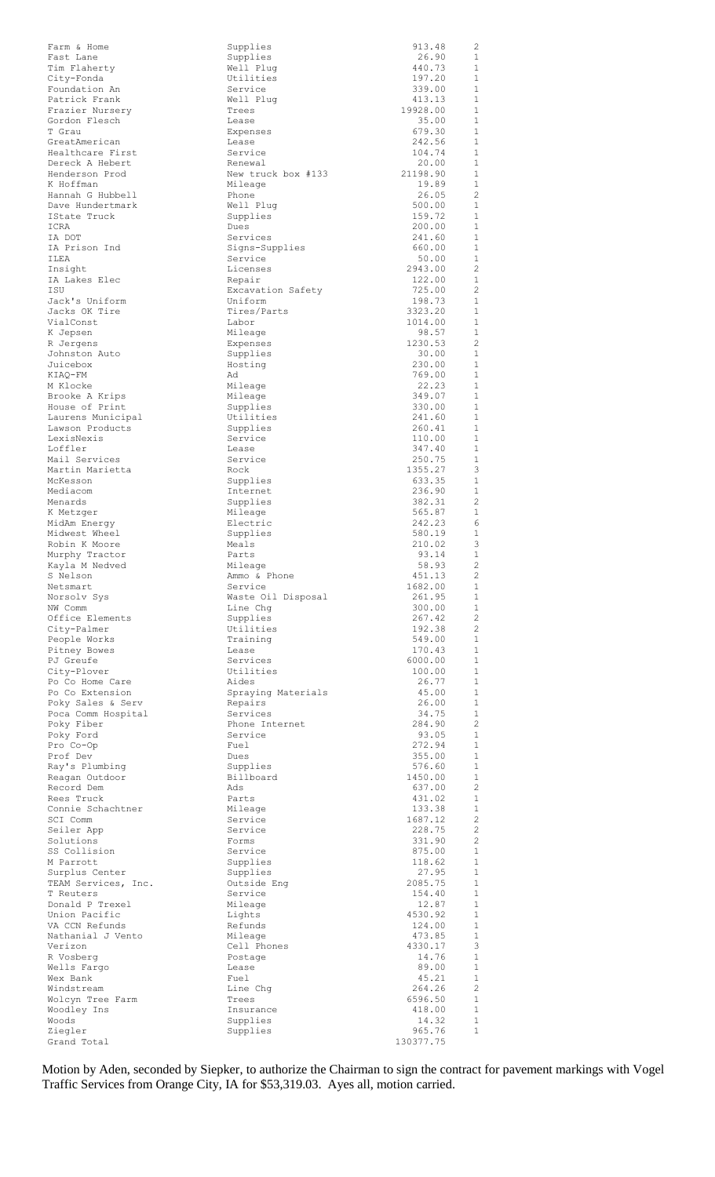| Farm & Home                      | Supplies                      | 913.48            | 2                            |
|----------------------------------|-------------------------------|-------------------|------------------------------|
| Fast Lane<br>Tim Flaherty        | Supplies<br>Well Plug         | 26.90<br>440.73   | $\mathbf{1}$<br>1            |
| City-Fonda                       | Utilities                     | 197.20            | $\mathbf{1}$                 |
| Foundation An                    | Service                       | 339.00            | $\mathbf{1}$                 |
| Patrick Frank                    | Well Plug                     | 413.13            | $\mathbf{1}$                 |
| Frazier Nursery<br>Gordon Flesch | Trees<br>Lease                | 19928.00<br>35.00 | 1<br>$\mathbf{1}$            |
| T Grau                           | Expenses                      | 679.30            | $\mathbf{1}$                 |
| GreatAmerican                    | Lease                         | 242.56            | $\mathbf{1}$                 |
| Healthcare First                 | Service                       | 104.74            | $\mathbf{1}$                 |
| Dereck A Hebert                  | Renewal                       | 20.00             | $\mathbf{1}$                 |
| Henderson Prod<br>K Hoffman      | New truck box #133<br>Mileage | 21198.90<br>19.89 | $\mathbf{1}$<br>$\mathbf{1}$ |
| Hannah G Hubbell                 | Phone                         | 26.05             | $\overline{2}$               |
| Dave Hundertmark                 | Well Plug                     | 500.00            | $\mathbf{1}$                 |
| IState Truck                     | Supplies                      | 159.72            | $\mathbf{1}$                 |
| ICRA                             | Dues                          | 200.00            | $\mathbf{1}$                 |
| IA DOT<br>IA Prison Ind          | Services<br>Signs-Supplies    | 241.60<br>660.00  | $\mathbf{1}$<br>$\mathbf{1}$ |
| ILEA                             | Service                       | 50.00             | $\mathbf{1}$                 |
| Insight                          | Licenses                      | 2943.00           | 2                            |
| IA Lakes Elec                    | Repair                        | 122.00            | $\mathbf{1}$                 |
| ISU                              | Excavation Safety             | 725.00            | 2                            |
| Jack's Uniform<br>Jacks OK Tire  | Uniform<br>Tires/Parts        | 198.73<br>3323.20 | $\mathbf{1}$<br>$\mathbf{1}$ |
| VialConst                        | Labor                         | 1014.00           | $\mathbf{1}$                 |
| K Jepsen                         | Mileage                       | 98.57             | $\mathbf{1}$                 |
| R Jergens                        | Expenses                      | 1230.53           | 2                            |
| Johnston Auto                    | Supplies                      | 30.00             | $\mathbf{1}$                 |
| Juicebox                         | Hosting                       | 230.00            | $\mathbf{1}$<br>$\mathbf{1}$ |
| KIAO-FM<br>M Klocke              | Ad<br>Mileage                 | 769.00<br>22.23   | $\mathbf{1}$                 |
| Brooke A Krips                   | Mileage                       | 349.07            | $\mathbf{1}$                 |
| House of Print                   | Supplies                      | 330.00            | $\mathbf{1}$                 |
| Laurens Municipal                | Utilities                     | 241.60            | $\mathbf{1}$                 |
| Lawson Products                  | Supplies                      | 260.41            | $\mathbf{1}$                 |
| LexisNexis<br>Loffler            | Service                       | 110.00<br>347.40  | $\mathbf{1}$<br>$\mathbf{1}$ |
| Mail Services                    | Lease<br>Service              | 250.75            | $\mathbf{1}$                 |
| Martin Marietta                  | Rock                          | 1355.27           | 3                            |
| McKesson                         | Supplies                      | 633.35            | $\mathbf{1}$                 |
| Mediacom                         | Internet                      | 236.90            | $\mathbf{1}$                 |
| Menards                          | Supplies                      | 382.31            | 2                            |
| K Metzger<br>MidAm Energy        | Mileage<br>Electric           | 565.87<br>242.23  | 1<br>6                       |
| Midwest Wheel                    | Supplies                      | 580.19            | $\mathbf{1}$                 |
| Robin K Moore                    | Meals                         | 210.02            | 3                            |
| Murphy Tractor                   | Parts                         | 93.14             | $\mathbf{1}$                 |
| Kayla M Nedved                   | Mileage                       | 58.93             | $\overline{2}$               |
| S Nelson                         | Ammo & Phone                  | 451.13            | 2                            |
| Netsmart<br>Norsolv Sys          | Service<br>Waste Oil Disposal | 1682.00<br>261.95 | 1<br>$\mathbf{1}$            |
| NW Comm                          | Line Chg                      | 300.00            | $\mathbf{1}$                 |
| Office Elements                  | Supplies                      | 267.42            | 2                            |
| City-Palmer                      | Utilities                     | 192.38            | 2                            |
| People Works                     | Training                      | 549.00            | $\mathbf{1}$                 |
| Pitney Bowes<br>PJ Greufe        | Lease<br>Services             | 170.43<br>6000.00 | $\mathbf{1}$<br>$\mathbf{1}$ |
| City-Plover                      | Utilities                     | 100.00            | $\mathbf{1}$                 |
| Po Co Home Care                  | Aides                         | 26.77             | $\mathbf{1}$                 |
| Po Co Extension                  | Spraying Materials            | 45.00             | $\mathbf{1}$                 |
| Poky Sales & Serv                | Repairs                       | 26.00             | $\mathbf{1}$                 |
| Poca Comm Hospital               | Services                      | 34.75             | $\mathbf{1}$                 |
| Poky Fiber<br>Poky Ford          | Phone Internet<br>Service     | 284.90<br>93.05   | 2<br>$\mathbf{1}$            |
| Pro Co-Op                        | Fuel                          | 272.94            | $\mathbf{1}$                 |
| Prof Dev                         | Dues                          | 355.00            | $\mathbf{1}$                 |
| Ray's Plumbing                   | Supplies                      | 576.60            | $\mathbf{1}$                 |
| Reagan Outdoor                   | Billboard                     | 1450.00           | $\mathbf{1}$                 |
| Record Dem                       | Ads                           | 637.00            | 2<br>$\mathbf{1}$            |
| Rees Truck<br>Connie Schachtner  | Parts<br>Mileage              | 431.02<br>133.38  | $\mathbf{1}$                 |
| SCI Comm                         | Service                       | 1687.12           | $\overline{c}$               |
| Seiler App                       | Service                       | 228.75            | 2                            |
| Solutions                        | Forms                         | 331.90            | 2                            |
| SS Collision                     | Service                       | 875.00            | 1                            |
| M Parrott<br>Surplus Center      | Supplies<br>Supplies          | 118.62<br>27.95   | 1<br>$\mathbf{1}$            |
| TEAM Services, Inc.              | Outside Eng                   | 2085.75           | $\mathbf{1}$                 |
| T Reuters                        | Service                       | 154.40            | $\mathbf{1}$                 |
| Donald P Trexel                  | Mileage                       | 12.87             | $\mathbf{1}$                 |
| Union Pacific                    | Lights                        | 4530.92           | $\mathbf{1}$                 |
| VA CCN Refunds                   | Refunds                       | 124.00            | $\mathbf{1}$                 |
| Nathanial J Vento<br>Verizon     | Mileage<br>Cell Phones        | 473.85<br>4330.17 | $\mathbf{1}$<br>3            |
| R Vosberg                        | Postage                       | 14.76             | $\mathbf{1}$                 |
| Wells Farqo                      | Lease                         | 89.00             | $\mathbf{1}$                 |
| Wex Bank                         | Fuel                          | 45.21             | $\mathbf{1}$                 |
| Windstream                       | Line Chg                      | 264.26            | 2                            |
| Wolcyn Tree Farm<br>Woodley Ins  | Trees<br>Insurance            | 6596.50<br>418.00 | 1<br>$\mathbf{1}$            |
| Woods                            | Supplies                      | 14.32             | $\mathbf{1}$                 |
| Ziegler                          | Supplies                      | 965.76            | $\mathbf{1}$                 |
| Grand Total                      |                               | 130377.75         |                              |

Motion by Aden, seconded by Siepker, to authorize the Chairman to sign the contract for pavement markings with Vogel Traffic Services from Orange City, IA for \$53,319.03. Ayes all, motion carried.